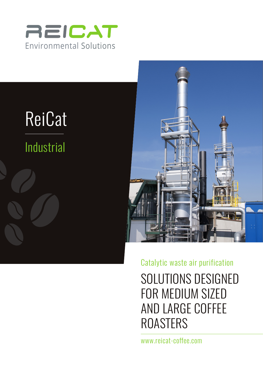





Catalytic waste air purification

SOLUTIONS DESIGNED FOR MEDIUM SIZED AND LARGE COFFEE ROASTERS

www.reicat-coffee.com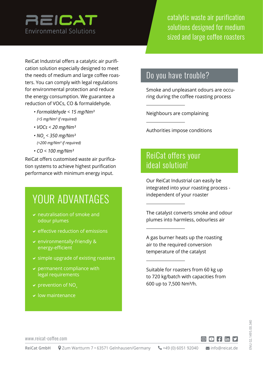

catalytic waste air purification solutions designed for medium sized and large coffee roasters

ReiCat Industrial offers a catalytic air purification solution especially designed to meet the needs of medium and large coffee roasters. You can comply with legal regulations for environmental protection and reduce the energy consumption. We guarantee a reduction of VOCs, CO & formaldehyde.

- *Formaldehyde < 15 mg/Nm³ (<5 mg/Nm³ if required)*
- *VOCs < 20 mg/Nm³*
- *NOx < 350 mg/Nm³ (<200 mg/Nm³ if required)*
- *CO < 100 mg/Nm³*

ReiCat offers customised waste air purification systems to achieve highest purification performance with minimum energy input.

# YOUR ADVANTAGES

- $\vee$  neutralisation of smoke and odour plumes
- $\vee$  effective reduction of emissions
- $\vee$  environmentally-friendly & energy-efficient
- $\vee$  simple upgrade of existing roasters
- $\vee$  permanent compliance with legal requirements
- $\vee$  prevention of NO<sub>x</sub>
- $\vee$  low maintenance

### Do you have trouble?

Smoke and unpleasant odours are occuring during the coffee roasting process

Neighbours are complaining

Authorities impose conditions

## ReiCat offers your ideal solution!

Our ReiCat Industrial can easily be integrated into your roasting process independent of your roaster

The catalyst converts smoke and odour plumes into harmless, odourless air

A gas burner heats up the roasting air to the required conversion temperature of the catalyst

Suitable for roasters from 60 kg up to 720 kg/batch with capacities from 600 up to 7,500 Nm³/h.

www.reicat-coffee.com

 $\textcircled{a}$  f in y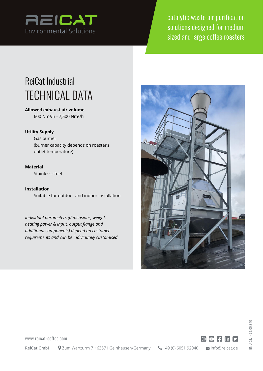

catalytic waste air purification solutions designed for medium sized and large coffee roasters

## ReiCat Industrial TECHNICAL DATA

**Allowed exhaust air volume** 600 Nm³/h - 7,500 Nm³/h

#### **Utility Supply**

Gas burner (burner capacity depends on roaster's outlet temperature)

#### **Material**

Stainless steel

**Installation** Suitable for outdoor and indoor installation

*Individual parameters (dimensions, weight, heating power & input, output flange and additional components) depend on customer requirements and can be individually customised*





www.reicat-coffee.com

 $\textcircled{c}$  finy